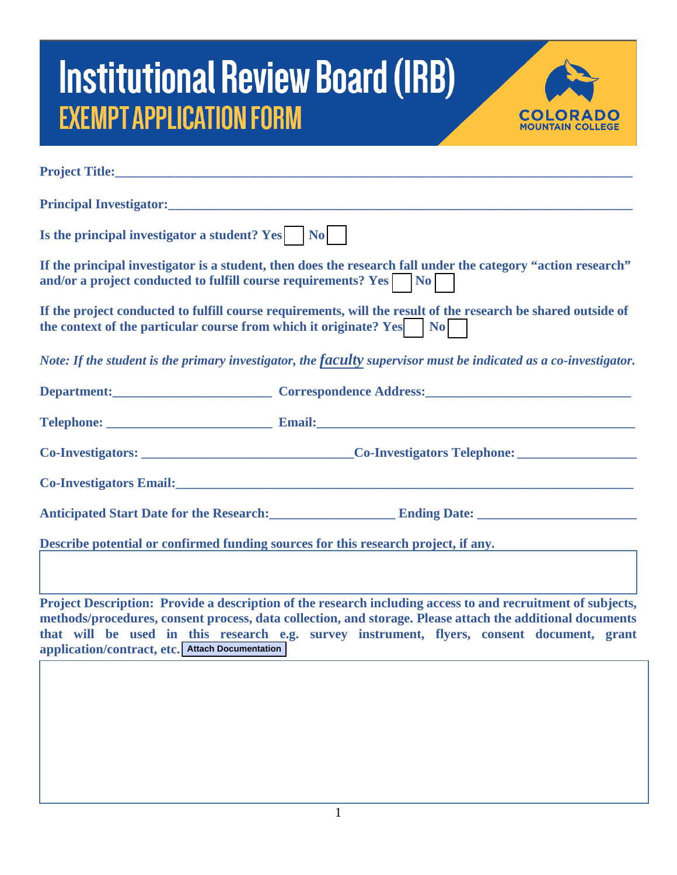## **Institutional Review Board (IRB) EXEMPT APPLICATION FORM**



| Is the principal investigator a student? Yes   No                                                                                                                                               |                                                                           |
|-------------------------------------------------------------------------------------------------------------------------------------------------------------------------------------------------|---------------------------------------------------------------------------|
| If the principal investigator is a student, then does the research fall under the category "action research"<br>and/or a project conducted to fulfill course requirements? Yes No               |                                                                           |
| If the project conducted to fulfill course requirements, will the result of the research be shared outside of<br>the context of the particular course from which it originate? Yes $\bigcap$ No |                                                                           |
| Note: If the student is the primary investigator, the faculty supervisor must be indicated as a co-investigator.                                                                                |                                                                           |
|                                                                                                                                                                                                 | Department: Correspondence Address: Correspondence Address:               |
|                                                                                                                                                                                                 |                                                                           |
|                                                                                                                                                                                                 | Co-Investigators: Co-Investigators Telephone: Co-Investigators Telephone: |
|                                                                                                                                                                                                 | Co-Investigators Email:<br><u>Co-Investigators Email:</u>                 |
|                                                                                                                                                                                                 |                                                                           |
| Describe potential or confirmed funding sources for this research project, if any.                                                                                                              |                                                                           |

**Project Description: Provide a description of the research including access to and recruitment of subjects, methods/procedures, consent process, data collection, and storage. Please attach the additional documents that will be used in this research e.g. survey instrument, flyers, consent document, grant application/contract, etc. Attach Documentation**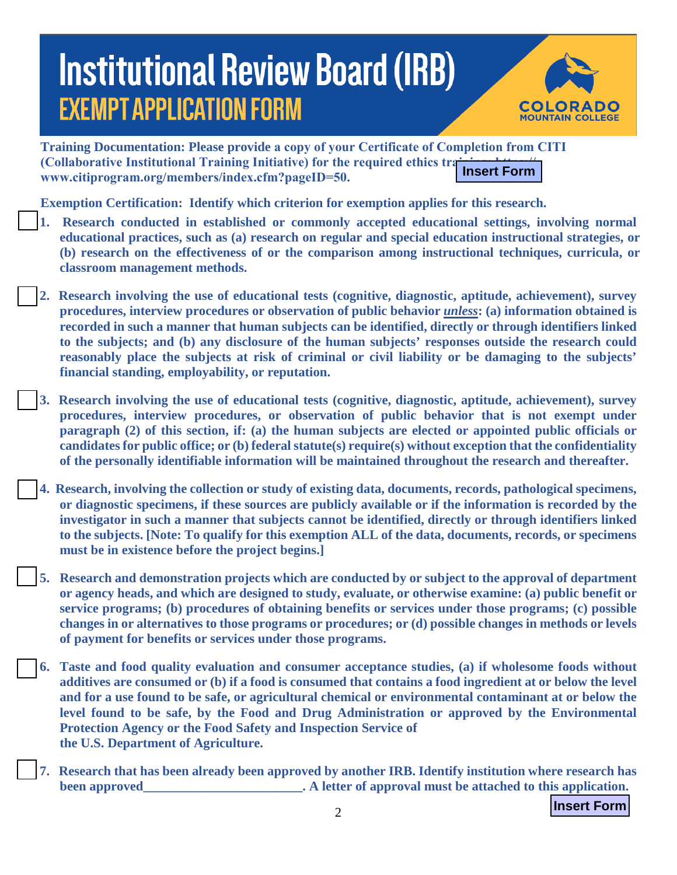## **Institutional Review Board (IRB) EXEMPT APPLICATION FORM**



**Training Documentation: Please provide a copy of your Certificate of Completion from CITI (Collaborative Institutional Training Initiative) for the required ethics training www.citiprogram.org/members/index.cfm?pageID=50. Insert Form**

**Exemption Certification: Identify which criterion for exemption applies for this research.** 

- **1. Research conducted in established or commonly accepted educational settings, involving normal educational practices, such as (a) research on regular and special education instructional strategies, or (b) research on the effectiveness of or the comparison among instructional techniques, curricula, or classroom management methods.**
- **2. Research involving the use of educational tests (cognitive, diagnostic, aptitude, achievement), survey procedures, interview procedures or observation of public behavior** *unless***: (a) information obtained is recorded in such a manner that human subjects can be identified, directly or through identifiers linked to the subjects; and (b) any disclosure of the human subjects' responses outside the research could reasonably place the subjects at risk of criminal or civil liability or be damaging to the subjects' financial standing, employability, or reputation.**
- **3. Research involving the use of educational tests (cognitive, diagnostic, aptitude, achievement), survey procedures, interview procedures, or observation of public behavior that is not exempt under paragraph (2) of this section, if: (a) the human subjects are elected or appointed public officials or candidates for public office; or (b) federal statute(s) require(s) without exception that the confidentiality of the personally identifiable information will be maintained throughout the research and thereafter.**
- **4. Research, involving the collection or study of existing data, documents, records, pathological specimens, or diagnostic specimens, if these sources are publicly available or if the information is recorded by the investigator in such a manner that subjects cannot be identified, directly or through identifiers linked to the subjects. [Note: To qualify for this exemption ALL of the data, documents, records, or specimens must be in existence before the project begins.]**
- **5. Research and demonstration projects which are conducted by or subject to the approval of department or agency heads, and which are designed to study, evaluate, or otherwise examine: (a) public benefit or service programs; (b) procedures of obtaining benefits or services under those programs; (c) possible changes in or alternatives to those programs or procedures; or (d) possible changes in methods or levels of payment for benefits or services under those programs.**
- **6. Taste and food quality evaluation and consumer acceptance studies, (a) if wholesome foods without additives are consumed or (b) if a food is consumed that contains a food ingredient at or below the level and for a use found to be safe, or agricultural chemical or environmental contaminant at or below the level found to be safe, by the Food and Drug Administration or approved by the Environmental Protection Agency or the Food Safety and Inspection Service of the U.S. Department of Agriculture.**
- **7. Research that has been already been approved by another IRB. Identify institution where research has been approved been** approved **a b health health health health health health health health health health health health health health health health health health health health**

**Insert Form**